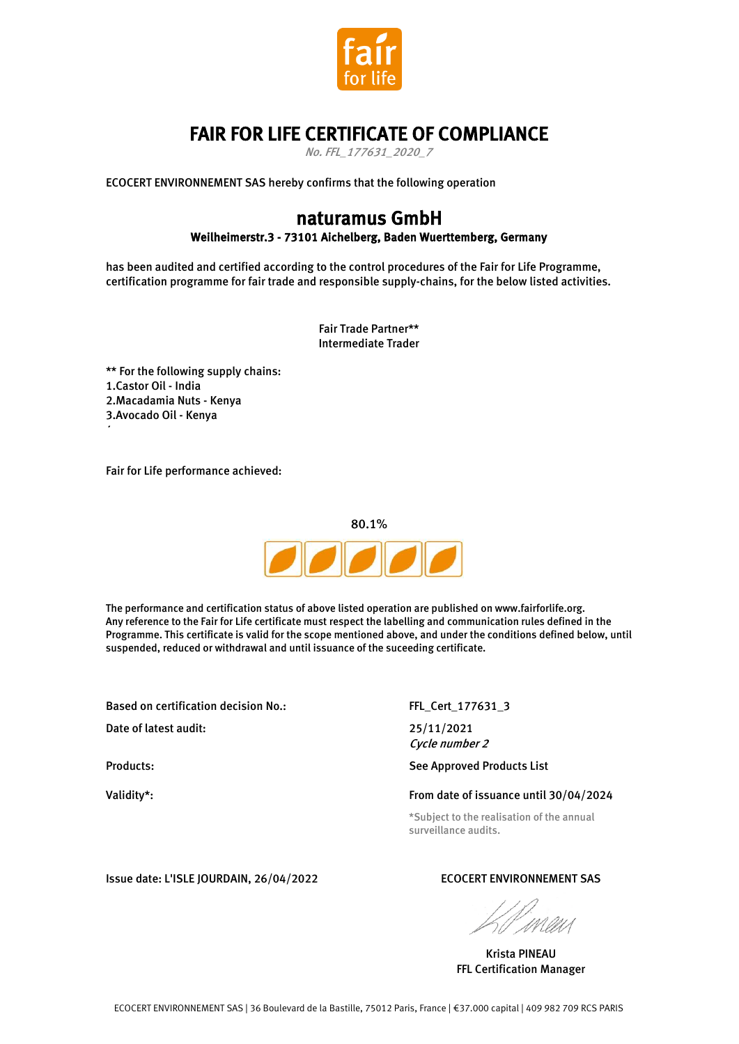

## FAIR FOR LIFE CERTIFICATE OF COMPLIANCE

No. FFL\_177631\_2020\_7

ECOCERT ENVIRONNEMENT SAS hereby confirms that the following operation

## naturamus GmbH Weilheimerstr.3 - 73101 Aichelberg, Baden Wuerttemberg, Germany

has been audited and certified according to the control procedures of the Fair for Life Programme, certification programme for fair trade and responsible supply-chains, for the below listed activities.

> Fair Trade Partner\*\* Intermediate Trader

\*\* For the following supply chains: 1.Castor Oil - India 2.Macadamia Nuts - Kenya 3.Avocado Oil - Kenya

Fair for Life performance achieved:



The performance and certification status of above listed operation are published on www.fairforlife.org. Any reference to the Fair for Life certificate must respect the labelling and communication rules defined in the Programme. This certificate is valid for the scope mentioned above, and under the conditions defined below, until suspended, reduced or withdrawal and until issuance of the suceeding certificate.

Based on certification decision No.: FEL Cert 177631 3

Date of latest audit: 25/11/2021

4.

Validity\*:

Cycle number 2

Products: The Contract of the See Approved Products List

#### From date of issuance until 30/04/2024

\*Subject to the realisation of the annual surveillance audits.

Issue date: L'ISLE JOURDAIN, 26/04/2022 ECOCERT ENVIRONNEMENT SAS

Krista PINEAU FFL Certification Manager